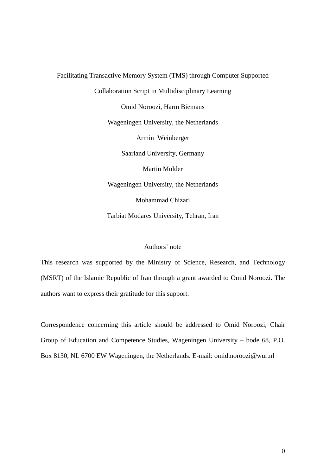Facilitating Transactive Memory System (TMS) through Computer Supported Collaboration Script in Multidisciplinary Learning Omid Noroozi, Harm Biemans Wageningen University, the Netherlands Armin Weinberger Saarland University, Germany Martin Mulder Wageningen University, the Netherlands Mohammad Chizari Tarbiat Modares University, Tehran, Iran

# Authors' note

This research was supported by the Ministry of Science, Research, and Technology (MSRT) of the Islamic Republic of Iran through a grant awarded to Omid Noroozi. The authors want to express their gratitude for this support.

Correspondence concerning this article should be addressed to Omid Noroozi, Chair Group of Education and Competence Studies, Wageningen University – bode 68, P.O. Box 8130, NL 6700 EW Wageningen, the Netherlands. E-mail: omid.noroozi@wur.nl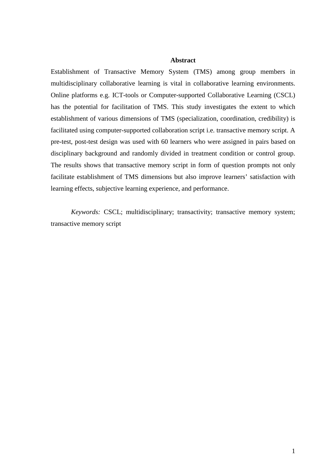## **Abstract**

Establishment of Transactive Memory System (TMS) among group members in multidisciplinary collaborative learning is vital in collaborative learning environments. Online platforms e.g. ICT-tools or Computer-supported Collaborative Learning (CSCL) has the potential for facilitation of TMS. This study investigates the extent to which establishment of various dimensions of TMS (specialization, coordination, credibility) is facilitated using computer-supported collaboration script i.e. transactive memory script. A pre-test, post-test design was used with 60 learners who were assigned in pairs based on disciplinary background and randomly divided in treatment condition or control group. The results shows that transactive memory script in form of question prompts not only facilitate establishment of TMS dimensions but also improve learners' satisfaction with learning effects, subjective learning experience, and performance.

*Keywords:* CSCL; multidisciplinary; transactivity; transactive memory system; transactive memory script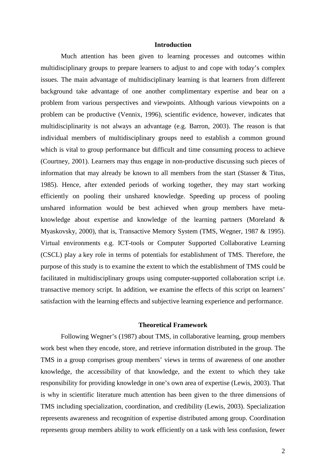### **Introduction**

Much attention has been given to learning processes and outcomes within multidisciplinary groups to prepare learners to adjust to and cope with today's complex issues. The main advantage of multidisciplinary learning is that learners from different background take advantage of one another complimentary expertise and bear on a problem from various perspectives and viewpoints. Although various viewpoints on a problem can be productive (Vennix, 1996), scientific evidence, however, indicates that multidisciplinarity is not always an advantage (e.g. [Barron, 2003\)](http://www.sciencedirect.com/science?_ob=ArticleURL&_udi=B6VDC-4DVVYK1-2&_user=533256&_coverDate=07%2F01%2F2005&_rdoc=1&_fmt=high&_orig=search&_origin=search&_sort=d&_docanchor=&view=c&_searchStrId=1460455060&_rerunOrigin=google&_acct=C000026798&_version=1&_urlVersion=0&_userid=533256&md5=7c481cd02b4d6512ca45c60fae789d46&searchtype=a#bib5#bib5). The reason is that individual members of multidisciplinary groups need to establish a common ground which is vital to group performance but difficult and time consuming process to achieve (Courtney, 2001). Learners may thus engage in non-productive discussing such pieces of information that may already be known to all members from the start (Stasser & Titus, 1985). Hence, after extended periods of working together, they may start working efficiently on pooling their unshared knowledge. Speeding up process of pooling unshared information would be best achieved when group members have metaknowledge about expertise and knowledge of the learning partners (Moreland & Myaskovsky, 2000), that is, Transactive Memory System (TMS, Wegner, 1987 & 1995). Virtual environments e.g. ICT-tools or Computer Supported Collaborative Learning (CSCL) play a key role in terms of potentials for establishment of TMS. Therefore, the purpose of this study is to examine the extent to which the establishment of TMS could be facilitated in multidisciplinary groups using computer-supported collaboration script i.e. transactive memory script. In addition, we examine the effects of this script on learners' satisfaction with the learning effects and subjective learning experience and performance.

## **Theoretical Framework**

Following Wegner's (1987) about TMS, in collaborative learning, group members work best when they encode, store, and retrieve information distributed in the group. The TMS in a group comprises group members' views in terms of awareness of one another knowledge, the accessibility of that knowledge, and the extent to which they take responsibility for providing knowledge in one's own area of expertise (Lewis, 2003). That is why in scientific literature much attention has been given to the three dimensions of TMS including specialization, coordination, and credibility (Lewis, 2003). Specialization represents awareness and recognition of expertise distributed among group. Coordination represents group members ability to work efficiently on a task with less confusion, fewer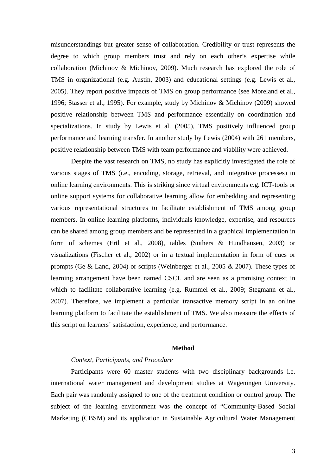misunderstandings but greater sense of collaboration. Credibility or trust represents the degree to which group members trust and rely on each other's expertise while collaboration (Michinov & Michinov, 2009). Much research has explored the role of TMS in organizational (e.g. Austin, 2003) and educational settings (e.g. Lewis et al., 2005). They report positive impacts of TMS on group performance (see Moreland et al., 1996; Stasser et al., 1995). For example, study by Michinov & Michinov (2009) showed positive relationship between TMS and performance essentially on coordination and specializations. In study by Lewis et al. (2005), TMS positively influenced group performance and learning transfer. In another study by Lewis (2004) with 261 members, positive relationship between TMS with team performance and viability were achieved.

Despite the vast research on TMS, no study has explicitly investigated the role of various stages of TMS (i.e., encoding, storage, retrieval, and integrative processes) in online learning environments. This is striking since virtual environments e.g. ICT-tools or online support systems for collaborative learning allow for embedding and representing various representational structures to facilitate establishment of TMS among group members. In online learning platforms, individuals knowledge, expertise, and resources can be shared among group members and be represented in a graphical implementation in form of schemes (Ertl et al., 2008), tables (Suthers & Hundhausen, 2003) or visualizations (Fischer et al., 2002) or in a textual implementation in form of cues or prompts (Ge & Land, 2004) or scripts (Weinberger et al., 2005 & 2007). These types of learning arrangement have been named CSCL and are seen as a promising context in which to facilitate collaborative learning (e.g. Rummel et al., 2009; Stegmann et al., 2007). Therefore, we implement a particular transactive memory script in an online learning platform to facilitate the establishment of TMS. We also measure the effects of this script on learners' satisfaction, experience, and performance.

## **Method**

## *Context, Participants, and Procedure*

Participants were 60 master students with two disciplinary backgrounds i.e. international water management and development studies at Wageningen University. Each pair was randomly assigned to one of the treatment condition or control group. The subject of the learning environment was the concept of "Community-Based Social Marketing (CBSM) and its application in Sustainable Agricultural Water Management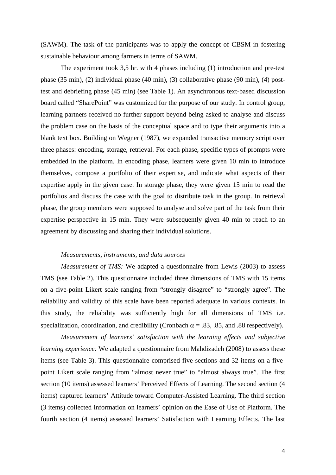(SAWM). The task of the participants was to apply the concept of CBSM in fostering sustainable behaviour among farmers in terms of SAWM.

The experiment took 3,5 hr. with 4 phases including (1) introduction and pre-test phase (35 min), (2) individual phase (40 min), (3) collaborative phase (90 min), (4) posttest and debriefing phase (45 min) (see Table 1). An asynchronous text-based discussion board called "SharePoint" was customized for the purpose of our study. In control group, learning partners received no further support beyond being asked to analyse and discuss the problem case on the basis of the conceptual space and to type their arguments into a blank text box. Building on Wegner (1987), we expanded transactive memory script over three phases: encoding, storage, retrieval. For each phase, specific types of prompts were embedded in the platform. In encoding phase, learners were given 10 min to introduce themselves, compose a portfolio of their expertise, and indicate what aspects of their expertise apply in the given case. In storage phase, they were given 15 min to read the portfolios and discuss the case with the goal to distribute task in the group. In retrieval phase, the group members were supposed to analyse and solve part of the task from their expertise perspective in 15 min. They were subsequently given 40 min to reach to an agreement by discussing and sharing their individual solutions.

### *Measurements, instruments, and data sources*

*Measurement of TMS:* We adapted a questionnaire from Lewis (2003) to assess TMS (see Table 2). This questionnaire included three dimensions of TMS with 15 items on a five-point Likert scale ranging from "strongly disagree" to "strongly agree". The reliability and validity of this scale have been reported adequate in various contexts. In this study, the reliability was sufficiently high for all dimensions of TMS i.e. specialization, coordination, and credibility (Cronbach  $\alpha = .83, .85,$  and 0.88 respectively).

*Measurement of learners' satisfaction with the learning effects and subjective learning experience:* We adapted a questionnaire from Mahdizadeh (2008) to assess these items (see Table 3). This questionnaire comprised five sections and 32 items on a fivepoint Likert scale ranging from "almost never true" to "almost always true". The first section (10 items) assessed learners' Perceived Effects of Learning. The second section (4 items) captured learners' Attitude toward Computer-Assisted Learning. The third section (3 items) collected information on learners' opinion on the Ease of Use of Platform. The fourth section (4 items) assessed learners' Satisfaction with Learning Effects. The last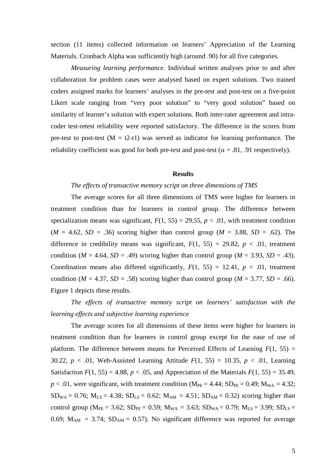section (11 items) collected information on learners' Appreciation of the Learning Materials. Cronbach Alpha was sufficiently high (around .90) for all five categories.

*Measuring learning performance.* Individual written analyses prior to and after collaboration for problem cases were analysed based on expert solutions. Two trained coders assigned marks for learners' analyses in the pre-test and post-test on a five-point Likert scale ranging from "very poor solution" to "very good solution" based on similarity of learner's solution with expert solutions. Both inter-rater agreement and intracoder test-retest reliability were reported satisfactory. The difference in the scores from pre-test to post-test  $(M = t2-t1)$  was served as indicator for learning performance. The reliability coefficient was good for both pre-test and post-test ( $\alpha$  = .81, .91 respectively).

#### **Results**

## *The effects of transactive memory script on three dimensions of TMS*

The average scores for all three dimensions of TMS were higher for learners in treatment condition than for learners in control group. The difference between specialization means was significant,  $F(1, 55) = 29.55$ ,  $p < .01$ , with treatment condition  $(M = 4.62, SD = .36)$  scoring higher than control group  $(M = 3.88, SD = .62)$ . The difference in credibility means was significant,  $F(1, 55) = 29.82$ ,  $p < .01$ , treatment condition ( $M = 4.64$ ,  $SD = .49$ ) scoring higher than control group ( $M = 3.93$ ,  $SD = .43$ ). Coordination means also differed significantly,  $F(1, 55) = 12.41$ ,  $p < .01$ , treatment condition ( $M = 4.37$ ,  $SD = .58$ ) scoring higher than control group ( $M = 3.77$ ,  $SD = .66$ ). Figure 1 depicts these results.

*The effects of transactive memory script on learners' satisfaction with the learning effects and subjective learning experience*

The average scores for all dimensions of these items were higher for learners in treatment condition than for learners in control group except for the ease of use of platform. The difference between means for Perceived Effects of Learning  $F(1, 55) =$ 30.22,  $p < .01$ , Web-Assisted Learning Attitude  $F(1, 55) = 10.35$ ,  $p < .01$ , Learning Satisfaction  $F(1, 55) = 4.88$ ,  $p < .05$ , and Appreciation of the Materials  $F(1, 55) = 35.49$ ,  $p < .01$ , were significant, with treatment condition (M<sub>PE</sub> = 4.44; SD<sub>PE</sub> = 0.49; M<sub>WA</sub> = 4.32;  $SD_{WA} = 0.76$ ;  $M_{LS} = 4.38$ ;  $SD_{LS} = 0.62$ ;  $M_{AM} = 4.51$ ;  $SD_{AM} = 0.32$ ) scoring higher than control group ( $M_{PE} = 3.62$ ;  $SD_{PE} = 0.59$ ;  $M_{WA} = 3.63$ ;  $SD_{WA} = 0.79$ ;  $M_{LS} = 3.99$ ;  $SD_{LS} =$ 0.69;  $M_{AM}$  = 3.74;  $SD_{AM}$  = 0.57). No significant difference was reported for average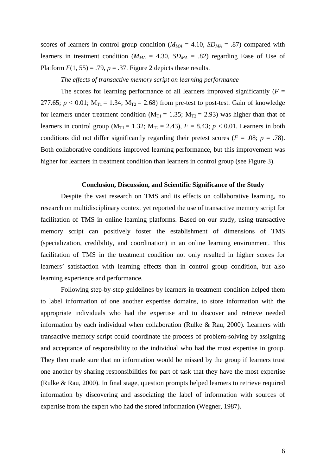scores of learners in control group condition  $(M_{MA} = 4.10, SD_{MA} = .87)$  compared with learners in treatment condition ( $M_{MA} = 4.30$ ,  $SD_{MA} = .82$ ) regarding Ease of Use of Platform  $F(1, 55) = .79$ ,  $p = .37$ . Figure 2 depicts these results.

## *The effects of transactive memory script on learning performance*

The scores for learning performance of all learners improved significantly  $(F =$ 277.65;  $p < 0.01$ ;  $M_{T1} = 1.34$ ;  $M_{T2} = 2.68$ ) from pre-test to post-test. Gain of knowledge for learners under treatment condition ( $M_{T1} = 1.35$ ;  $M_{T2} = 2.93$ ) was higher than that of learners in control group ( $M_{T1} = 1.32$ ;  $M_{T2} = 2.43$ ),  $F = 8.43$ ;  $p < 0.01$ . Learners in both conditions did not differ significantly regarding their pretest scores ( $F = .08$ ;  $p = .78$ ). Both collaborative conditions improved learning performance, but this improvement was higher for learners in treatment condition than learners in control group (see Figure 3).

#### **Conclusion, Discussion, and Scientific Significance of the Study**

Despite the vast research on TMS and its effects on collaborative learning, no research on multidisciplinary context yet reported the use of transactive memory script for facilitation of TMS in online learning platforms. Based on our study, using transactive memory script can positively foster the establishment of dimensions of TMS (specialization, credibility, and coordination) in an online learning environment. This facilitation of TMS in the treatment condition not only resulted in higher scores for learners' satisfaction with learning effects than in control group condition, but also learning experience and performance.

Following step-by-step guidelines by learners in treatment condition helped them to label information of one another expertise domains, to store information with the appropriate individuals who had the expertise and to discover and retrieve needed information by each individual when collaboration (Rulke & Rau, 2000). Learners with transactive memory script could coordinate the process of problem-solving by assigning and acceptance of responsibility to the individual who had the most expertise in group. They then made sure that no information would be missed by the group if learners trust one another by sharing responsibilities for part of task that they have the most expertise (Rulke & Rau, 2000). In final stage, question prompts helped learners to retrieve required information by discovering and associating the label of information with sources of expertise from the expert who had the stored information (Wegner, 1987).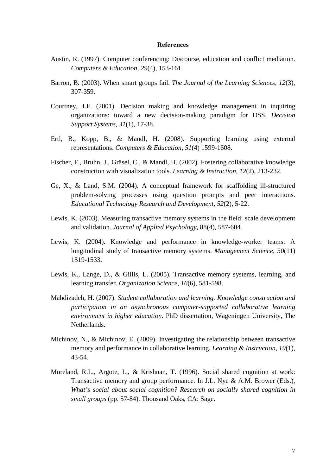### **References**

- Austin, R. (1997). Computer conferencing: Discourse, education and conflict mediation. *Computers & Education, 29*(4), 153-161.
- Barron, B. (2003). When smart groups fail. *The Journal of the Learning Sciences, 12*(3), 307-359.
- Courtney, J.F. (2001). Decision making and knowledge management in inquiring organizations: toward a new decision-making paradigm for DSS. *Decision Support Systems, 31*(1), 17-38.
- Ertl, B., Kopp, B., & Mandl, H. (2008). Supporting learning using external representations. *Computers & Education, 51*(4) 1599-1608.
- Fischer, F., Bruhn, J., Gräsel, C., & Mandl, H. (2002). Fostering collaborative knowledge construction with visualization tools. *Learning & Instruction, 12*(2), 213-232.
- Ge, X., & Land, S.M. (2004). A conceptual framework for scaffolding ill-structured problem-solving processes using question prompts and peer interactions. *Educational Technology Research and Development, 52*(2), 5-22.
- Lewis, K. (2003). Measuring transactive memory systems in the field: scale development and validation. *Journal of Applied Psychology*, 88(4), 587-604.
- Lewis, K. (2004). Knowledge and performance in knowledge-worker teams: A longitudinal study of transactive memory systems. *Management Science, 50*(11) 1519-1533.
- Lewis, K., Lange, D., & Gillis, L. (2005). Transactive memory systems, learning, and learning transfer. *Organization Science, 16*(6), 581-598.
- Mahdizadeh, H. (2007). *Student collaboration and learning. Knowledge construction and participation in an asynchronous computer-supported collaborative learning environment in higher education*. PhD dissertation, Wageningen University, The Netherlands.
- Michinov, N., & Michinov, E. (2009). Investigating the relationship between transactive memory and performance in collaborative learning. *Learning & Instruction, 19*(1), 43-54.
- Moreland, R.L., Argote, L., & Krishnan, T. (1996). Social shared cognition at work: Transactive memory and group performance. In J.L. Nye & A.M. Brower (Eds.), *What's social about social cognition? Research on socially shared cognition in small groups* (pp. 57-84). Thousand Oaks, CA: Sage.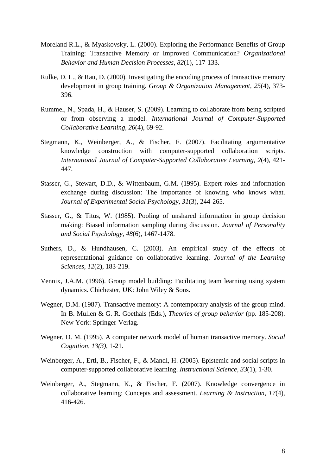- Moreland R.L., & Myaskovsky, L. (2000). Exploring the Performance Benefits of Group Training: Transactive Memory or Improved Communication? *Organizational Behavior and Human Decision Processes, 82*(1), 117-133.
- Rulke, D. L., & Rau, D. (2000). Investigating the encoding process of transactive memory development in group training. *Group & Organization Management, 25*(4), 373- 396.
- Rummel, N., Spada, H., & Hauser, S. (2009). Learning to collaborate from being scripted or from observing a model. *International Journal of Computer-Supported Collaborative Learning, 26*(4), 69-92.
- Stegmann, K., Weinberger, A., & Fischer, F. (2007). Facilitating argumentative knowledge construction with computer-supported collaboration scripts. *International Journal of Computer-Supported Collaborative Learning, 2*(4), 421- 447.
- Stasser, G., Stewart, D.D., & Wittenbaum, G.M. (1995). Expert roles and information exchange during discussion: The importance of knowing who knows what. *Journal of Experimental Social Psychology, 31*(3), 244-265.
- Stasser, G., & Titus, W. (1985). Pooling of unshared information in group decision making: Biased information sampling during discussion. *Journal of Personality and Social Psychology*, *48*(6), 1467-1478.
- Suthers, D., & Hundhausen, C. (2003). An empirical study of the effects of representational guidance on collaborative learning. *Journal of the Learning Sciences, 12*(2), 183-219.
- Vennix, J.A.M. (1996). Group model building: Facilitating team learning using system dynamics. Chichester, UK: John Wiley & Sons.
- Wegner, D.M. (1987). Transactive memory: A contemporary analysis of the group mind. In B. Mullen & G. R. Goethals (Eds.), *Theories of group behavior* (pp. 185-208). New York: Springer-Verlag.
- Wegner, D. M. (1995). A computer network model of human transactive memory. *Social Cognition, 13(3),* 1-21.
- Weinberger, A., Ertl, B., Fischer, F., & Mandl, H. (2005). Epistemic and social scripts in computer-supported collaborative learning. *Instructional Science, 33*(1), 1-30.
- Weinberger, A., Stegmann, K., & Fischer, F. (2007). Knowledge convergence in collaborative learning: Concepts and assessment. *Learning & Instruction, 17*(4), 416-426.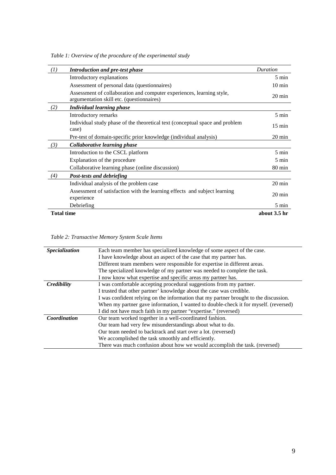*Table 1: Overview of the procedure of the experimental study*

| (I)               | <b>Introduction and pre-test phase</b>                                                                             | Duration         |  |
|-------------------|--------------------------------------------------------------------------------------------------------------------|------------------|--|
|                   | Introductory explanations                                                                                          | $5 \text{ min}$  |  |
|                   | Assessment of personal data (questionnaires)                                                                       | $10 \text{ min}$ |  |
|                   | Assessment of collaboration and computer experiences, learning style,<br>argumentation skill etc. (questionnaires) | $20 \text{ min}$ |  |
| (2)               | <b>Individual learning phase</b>                                                                                   |                  |  |
|                   | Introductory remarks                                                                                               | 5 min            |  |
|                   | Individual study phase of the theoretical text (conceptual space and problem<br>case)                              | $15 \text{ min}$ |  |
|                   | Pre-test of domain-specific prior knowledge (individual analysis)                                                  | $20 \text{ min}$ |  |
| (3)               | Collaborative learning phase                                                                                       |                  |  |
|                   | Introduction to the CSCL platform                                                                                  | $5 \text{ min}$  |  |
|                   | Explanation of the procedure                                                                                       | $5 \text{ min}$  |  |
|                   | Collaborative learning phase (online discussion)                                                                   | $80 \text{ min}$ |  |
| (4)               | Post-tests and debriefing                                                                                          |                  |  |
|                   | Individual analysis of the problem case                                                                            | $20 \text{ min}$ |  |
|                   | Assessment of satisfaction with the learning effects and subject learning                                          | $20 \text{ min}$ |  |
|                   | experience<br>Debriefing                                                                                           | $5 \text{ min}$  |  |
| <b>Total time</b> |                                                                                                                    | about 3.5 hr     |  |

# *Table 2: Transactive Memory System Scale Items*

| Specialization | Each team member has specialized knowledge of some aspect of the case.                |
|----------------|---------------------------------------------------------------------------------------|
|                | I have knowledge about an aspect of the case that my partner has.                     |
|                | Different team members were responsible for expertise in different areas.             |
|                | The specialized knowledge of my partner was needed to complete the task.              |
|                | I now know what expertise and specific areas my partner has.                          |
| Credibility    | I was comfortable accepting procedural suggestions from my partner.                   |
|                | I trusted that other partner' knowledge about the case was credible.                  |
|                | I was confident relying on the information that my partner brought to the discussion. |
|                | When my partner gave information, I wanted to double-check it for myself. (reversed)  |
|                | I did not have much faith in my partner "expertise." (reversed)                       |
| Coordination   | Our team worked together in a well-coordinated fashion.                               |
|                | Our team had very few misunderstandings about what to do.                             |
|                | Our team needed to backtrack and start over a lot. (reversed)                         |
|                | We accomplished the task smoothly and efficiently.                                    |
|                | There was much confusion about how we would accomplish the task. (reversed)           |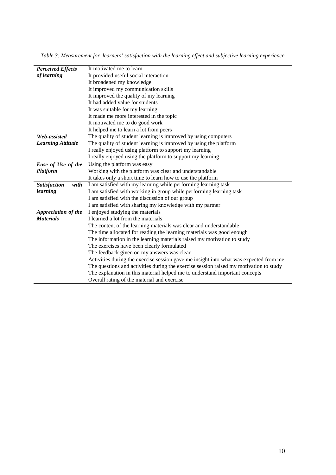| <b>Perceived Effects</b><br>It motivated me to learn<br>of learning<br>It provided useful social interaction |
|--------------------------------------------------------------------------------------------------------------|
|                                                                                                              |
|                                                                                                              |
| It broadened my knowledge                                                                                    |
| It improved my communication skills                                                                          |
| It improved the quality of my learning                                                                       |
| It had added value for students                                                                              |
| It was suitable for my learning                                                                              |
| It made me more interested in the topic                                                                      |
| It motivated me to do good work                                                                              |
| It helped me to learn a lot from peers                                                                       |
| Web-assisted<br>The quality of student learning is improved by using computers                               |
| <b>Learning Attitude</b><br>The quality of student learning is improved by using the platform                |
| I really enjoyed using platform to support my learning                                                       |
| I really enjoyed using the platform to support my learning                                                   |
| Ease of Use of the<br>Using the platform was easy                                                            |
| Platform<br>Working with the platform was clear and understandable                                           |
| It takes only a short time to learn how to use the platform                                                  |
| <b>Satisfaction</b><br>with<br>I am satisfied with my learning while performing learning task                |
| learning<br>I am satisfied with working in group while performing learning task                              |
| I am satisfied with the discussion of our group                                                              |
| I am satisfied with sharing my knowledge with my partner                                                     |
| I enjoyed studying the materials<br>Appreciation of the                                                      |
| I learned a lot from the materials<br><b>Materials</b>                                                       |
| The content of the learning materials was clear and understandable                                           |
| The time allocated for reading the learning materials was good enough                                        |
| The information in the learning materials raised my motivation to study                                      |
| The exercises have been clearly formulated                                                                   |
| The feedback given on my answers was clear                                                                   |
| Activities during the exercise session gave me insight into what was expected from me                        |
| The questions and activities during the exercise session raised my motivation to study                       |
| The explanation in this material helped me to understand important concepts                                  |
| Overall rating of the material and exercise                                                                  |

*Table 3: Measurement for learners' satisfaction with the learning effect and subjective learning experience*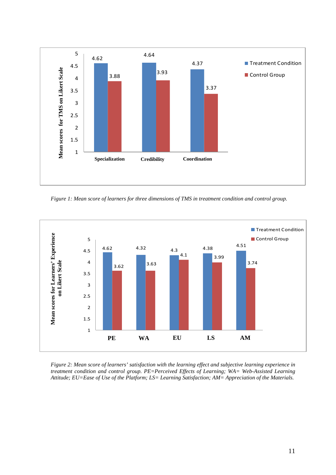

*Figure 1: Mean score of learners for three dimensions of TMS in treatment condition and control group.*



*Figure 2: Mean score of learners' satisfaction with the learning effect and subjective learning experience in treatment condition and control group. PE=Perceived Effects of Learning; WA= Web-Assisted Learning Attitude; EU=Ease of Use of the Platform; LS= Learning Satisfaction; AM= Appreciation of the Materials.*